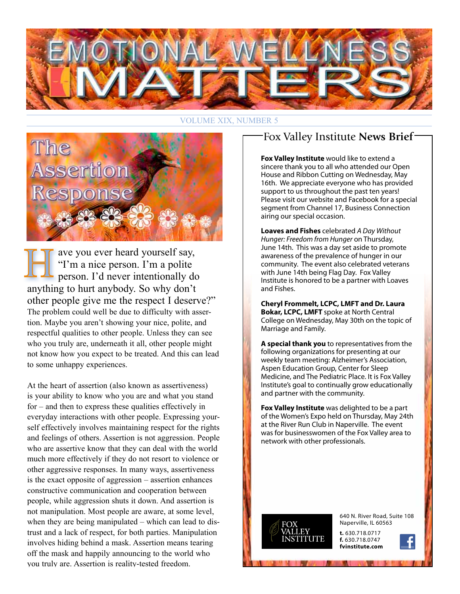

#### VOLUME XIX, NUMBER 5



ave you ever heard yourself say, "I'm a nice person. I'm a polite person. I'd never intentionally do anything to hurt anybody. So why don't other people give me the respect I deserve?" The problem could well be due to difficulty with assertion. Maybe you aren't showing your nice, polite, and respectful qualities to other people. Unless they can see who you truly are, underneath it all, other people might not know how you expect to be treated. And this can lead to some unhappy experiences.

At the heart of assertion (also known as assertiveness) is your ability to know who you are and what you stand for – and then to express these qualities effectively in everyday interactions with other people. Expressing yourself effectively involves maintaining respect for the rights and feelings of others. Assertion is not aggression. People who are assertive know that they can deal with the world much more effectively if they do not resort to violence or other aggressive responses. In many ways, assertiveness is the exact opposite of aggression – assertion enhances constructive communication and cooperation between people, while aggression shuts it down. And assertion is not manipulation. Most people are aware, at some level, when they are being manipulated – which can lead to distrust and a lack of respect, for both parties. Manipulation involves hiding behind a mask. Assertion means tearing off the mask and happily announcing to the world who you truly are. Assertion is reality-tested freedom.

### Fox Valley Institute **News Brief**

**Fox Valley Institute** would like to extend a sincere thank you to all who attended our Open House and Ribbon Cutting on Wednesday, May 16th. We appreciate everyone who has provided support to us throughout the past ten years! Please visit our website and Facebook for a special segment from Channel 17, Business Connection airing our special occasion.

**Loaves and Fishes** celebrated *A Day Without Hunger: Freedom from Hunger* on Thursday, June 14th. This was a day set aside to promote awareness of the prevalence of hunger in our community. The event also celebrated veterans with June 14th being Flag Day. Fox Valley Institute is honored to be a partner with Loaves and Fishes.

**Cheryl Frommelt, LCPC, LMFT and Dr. Laura Bokar, LCPC, LMFT** spoke at North Central College on Wednesday, May 30th on the topic of Marriage and Family.

**A special thank you** to representatives from the following organizations for presenting at our weekly team meeting: Alzheimer's Association, Aspen Education Group, Center for Sleep Medicine, and The Pediatric Place. It is Fox Valley Institute's goal to continually grow educationally and partner with the community.

**Fox Valley Institute** was delighted to be a part of the Women's Expo held on Thursday, May 24th at the River Run Club in Naperville. The event was for businesswomen of the Fox Valley area to network with other professionals.



640 N. River Road, Suite 108 Naperville, IL 60563

**t.** 630.718.0717 **f.** 630.718.0747 **fvinstitute.com**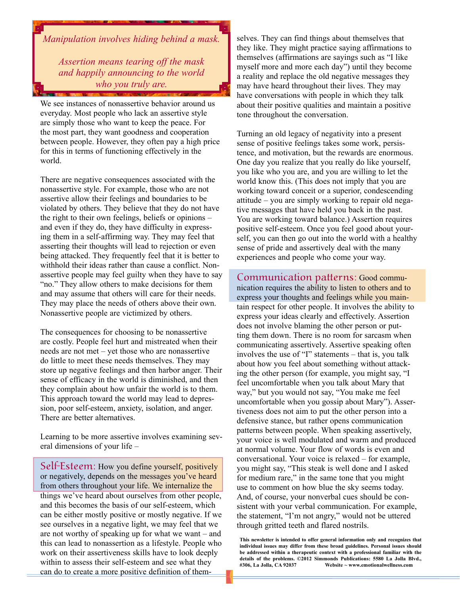*Manipulation involves hiding behind a mask.* 

*Assertion means tearing off the mask and happily announcing to the world who you truly are.*

We see instances of nonassertive behavior around us everyday. Most people who lack an assertive style are simply those who want to keep the peace. For the most part, they want goodness and cooperation between people. However, they often pay a high price for this in terms of functioning effectively in the world.

There are negative consequences associated with the nonassertive style. For example, those who are not assertive allow their feelings and boundaries to be violated by others. They believe that they do not have the right to their own feelings, beliefs or opinions – and even if they do, they have difficulty in expressing them in a self-affirming way. They may feel that asserting their thoughts will lead to rejection or even being attacked. They frequently feel that it is better to withhold their ideas rather than cause a conflict. Nonassertive people may feel guilty when they have to say "no." They allow others to make decisions for them and may assume that others will care for their needs. They may place the needs of others above their own. Nonassertive people are victimized by others.

The consequences for choosing to be nonassertive are costly. People feel hurt and mistreated when their needs are not met – yet those who are nonassertive do little to meet these needs themselves. They may store up negative feelings and then harbor anger. Their sense of efficacy in the world is diminished, and then they complain about how unfair the world is to them. This approach toward the world may lead to depression, poor self-esteem, anxiety, isolation, and anger. There are better alternatives.

Learning to be more assertive involves examining several dimensions of your life –

Self-Esteem: How you define yourself, positively or negatively, depends on the messages you've heard from others throughout your life. We internalize the things we've heard about ourselves from other people, and this becomes the basis of our self-esteem, which can be either mostly positive or mostly negative. If we see ourselves in a negative light, we may feel that we are not worthy of speaking up for what we want – and this can lead to nonassertion as a lifestyle. People who work on their assertiveness skills have to look deeply within to assess their self-esteem and see what they can do to create a more positive definition of them-

selves. They can find things about themselves that they like. They might practice saying affirmations to themselves (affirmations are sayings such as "I like myself more and more each day") until they become a reality and replace the old negative messages they may have heard throughout their lives. They may have conversations with people in which they talk about their positive qualities and maintain a positive tone throughout the conversation.

Turning an old legacy of negativity into a present sense of positive feelings takes some work, persistence, and motivation, but the rewards are enormous. One day you realize that you really do like yourself, you like who you are, and you are willing to let the world know this. (This does not imply that you are working toward conceit or a superior, condescending attitude – you are simply working to repair old negative messages that have held you back in the past. You are working toward balance.) Assertion requires positive self-esteem. Once you feel good about yourself, you can then go out into the world with a healthy sense of pride and assertively deal with the many experiences and people who come your way.

Communication patterns: Good communication requires the ability to listen to others and to express your thoughts and feelings while you maintain respect for other people. It involves the ability to express your ideas clearly and effectively. Assertion does not involve blaming the other person or putting them down. There is no room for sarcasm when communicating assertively. Assertive speaking often involves the use of "I" statements – that is, you talk about how you feel about something without attacking the other person (for example, you might say, "I feel uncomfortable when you talk about Mary that way," but you would not say, "You make me feel uncomfortable when you gossip about Mary"). Assertiveness does not aim to put the other person into a defensive stance, but rather opens communication patterns between people. When speaking assertively, your voice is well modulated and warm and produced at normal volume. Your flow of words is even and conversational. Your voice is relaxed – for example, you might say, "This steak is well done and I asked for medium rare," in the same tone that you might use to comment on how blue the sky seems today. And, of course, your nonverbal cues should be consistent with your verbal communication. For example, the statement, "I'm not angry," would not be uttered through gritted teeth and flared nostrils.

**This newsletter is intended to offer general information only and recognizes that individual issues may differ from these broad guidelines. Personal issues should be addressed within a therapeutic context with a professional familiar with the details of the problems. ©2012 Simmonds Publications: 5580 La Jolla Blvd., #306, La Jolla, CA 92037 Website ~ www.emotionalwellness.com**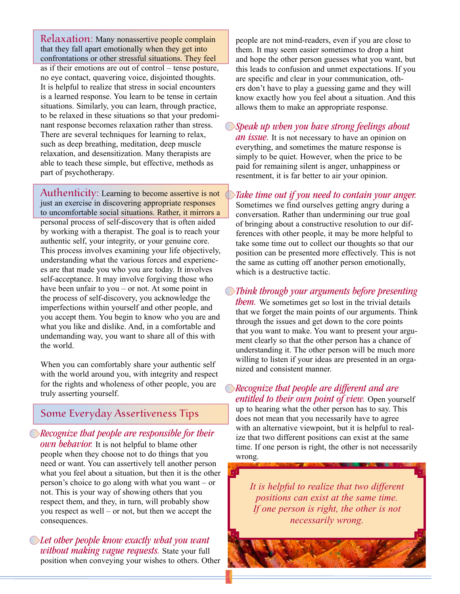Relaxation: Many nonassertive people complain that they fall apart emotionally when they get into confrontations or other stressful situations. They feel as if their emotions are out of control – tense posture, no eye contact, quavering voice, disjointed thoughts. It is helpful to realize that stress in social encounters is a learned response. You learn to be tense in certain situations. Similarly, you can learn, through practice, to be relaxed in these situations so that your predominant response becomes relaxation rather than stress. There are several techniques for learning to relax, such as deep breathing, meditation, deep muscle relaxation, and desensitization. Many therapists are able to teach these simple, but effective, methods as part of psychotherapy.

Authenticity: Learning to become assertive is not just an exercise in discovering appropriate responses to uncomfortable social situations. Rather, it mirrors a personal process of self-discovery that is often aided by working with a therapist. The goal is to reach your authentic self, your integrity, or your genuine core. This process involves examining your life objectively, understanding what the various forces and experiences are that made you who you are today. It involves self-acceptance. It may involve forgiving those who have been unfair to you – or not. At some point in the process of self-discovery, you acknowledge the imperfections within yourself and other people, and you accept them. You begin to know who you are and what you like and dislike. And, in a comfortable and undemanding way, you want to share all of this with the world.

When you can comfortably share your authentic self with the world around you, with integrity and respect for the rights and wholeness of other people, you are truly asserting yourself.

#### Some Everyday Assertiveness Tips

*Recognize that people are responsible for their own behavior.* It is not helpful to blame other people when they choose not to do things that you need or want. You can assertively tell another person what you feel about a situation, but then it is the other person's choice to go along with what you want – or not. This is your way of showing others that you respect them, and they, in turn, will probably show you respect as well – or not, but then we accept the consequences.

*Let other people know exactly what you want without making vague requests.* State your full position when conveying your wishes to others. Other people are not mind-readers, even if you are close to them. It may seem easier sometimes to drop a hint and hope the other person guesses what you want, but this leads to confusion and unmet expectations. If you are specific and clear in your communication, others don't have to play a guessing game and they will know exactly how you feel about a situation. And this allows them to make an appropriate response.

*Speak up when you have strong feelings about* 

*an issue.* It is not necessary to have an opinion on everything, and sometimes the mature response is simply to be quiet. However, when the price to be paid for remaining silent is anger, unhappiness or resentment, it is far better to air your opinion.

*Take time out if you need to contain your anger.* Sometimes we find ourselves getting angry during a conversation. Rather than undermining our true goal of bringing about a constructive resolution to our differences with other people, it may be more helpful to take some time out to collect our thoughts so that our position can be presented more effectively. This is not the same as cutting off another person emotionally, which is a destructive tactic.

*Think through your arguments before presenting them.* We sometimes get so lost in the trivial details that we forget the main points of our arguments. Think through the issues and get down to the core points that you want to make. You want to present your argument clearly so that the other person has a chance of understanding it. The other person will be much more willing to listen if your ideas are presented in an organized and consistent manner.

*Recognize that people are different and are entitled to their own point of view.* Open yourself up to hearing what the other person has to say. This does not mean that you necessarily have to agree with an alternative viewpoint, but it is helpful to realize that two different positions can exist at the same time. If one person is right, the other is not necessarily wrong.

*It is helpful to realize that two different positions can exist at the same time. If one person is right, the other is not necessarily wrong.*